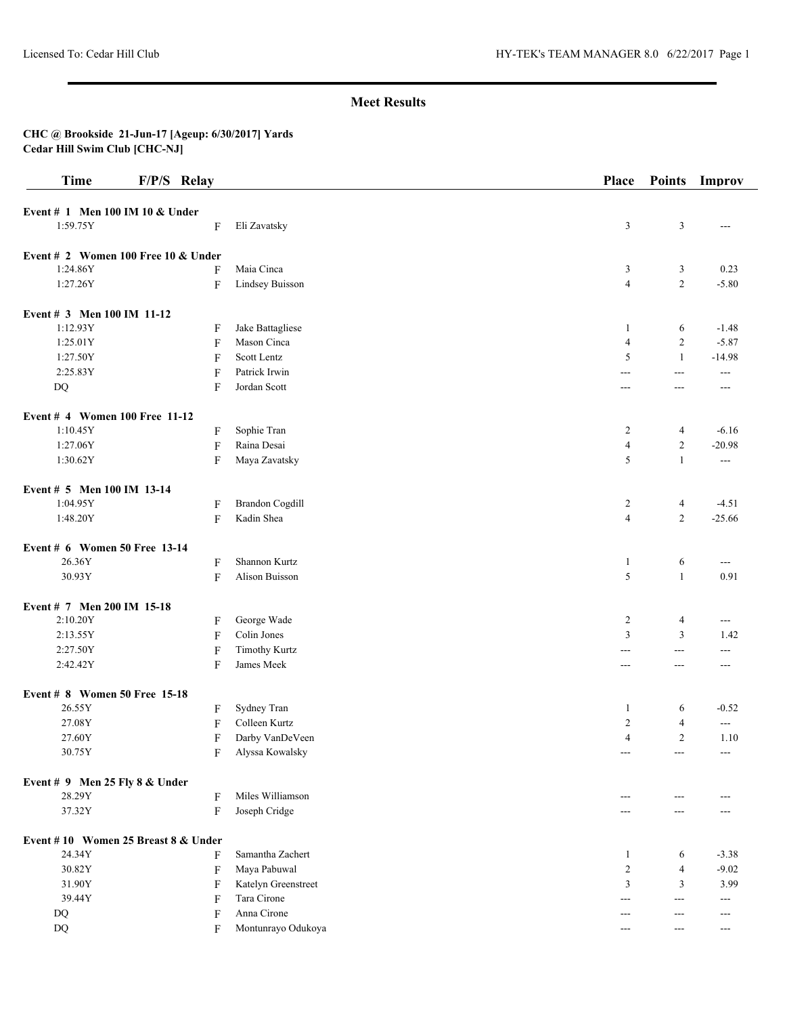| <b>Time</b>                         | F/P/S Relay               |                        | Place          | <b>Points</b>  | Improv        |
|-------------------------------------|---------------------------|------------------------|----------------|----------------|---------------|
| Event # 1 Men 100 IM 10 & Under     |                           |                        |                |                |               |
| 1:59.75Y                            | F                         | Eli Zavatsky           | 3              | $\mathfrak{Z}$ | ---           |
| Event # 2 Women 100 Free 10 & Under |                           |                        |                |                |               |
| 1:24.86Y                            | F                         | Maia Cinca             | 3              | 3              | 0.23          |
| 1:27.26Y                            | F                         | Lindsey Buisson        | $\overline{4}$ | $\overline{2}$ | $-5.80$       |
| Event # 3 Men 100 IM 11-12          |                           |                        |                |                |               |
| 1:12.93Y                            | F                         | Jake Battagliese       | 1              | 6              | $-1.48$       |
| 1:25.01Y                            | F                         | Mason Cinca            | $\overline{4}$ | $\overline{c}$ | $-5.87$       |
| 1:27.50Y                            | F                         | Scott Lentz            | 5              | $\mathbf{1}$   | $-14.98$      |
| 2:25.83Y                            | $\boldsymbol{\mathrm{F}}$ | Patrick Irwin          | ---            | $---$          | ---           |
| $\rm DQ$                            | F                         | Jordan Scott           | $---$          | ---            | ---           |
| Event # 4 Women 100 Free 11-12      |                           |                        |                |                |               |
| 1:10.45Y                            | F                         | Sophie Tran            | $\overline{c}$ | 4              | $-6.16$       |
| 1:27.06Y                            | F                         | Raina Desai            | $\overline{4}$ | $\overline{2}$ | $-20.98$      |
| 1:30.62Y                            | F                         | Maya Zavatsky          | 5              | $\mathbf{1}$   | $\sim$ $\sim$ |
| Event # 5 Men 100 IM 13-14          |                           |                        |                |                |               |
| 1:04.95Y                            | F                         | <b>Brandon Cogdill</b> | 2              | 4              | $-4.51$       |
| 1:48.20Y                            | F                         | Kadin Shea             | $\overline{4}$ | $\overline{c}$ | $-25.66$      |
| Event # 6 Women 50 Free 13-14       |                           |                        |                |                |               |
| 26.36Y                              | F                         | Shannon Kurtz          | $\mathbf{1}$   | 6              | $--$          |
| 30.93Y                              | F                         | Alison Buisson         | 5              | $\mathbf{1}$   | 0.91          |
| Event # 7 Men 200 IM 15-18          |                           |                        |                |                |               |
| 2:10.20Y                            | F                         | George Wade            | $\overline{c}$ | $\overline{4}$ | ---           |
| 2:13.55Y                            | $\boldsymbol{\mathrm{F}}$ | Colin Jones            | $\overline{3}$ | 3              | 1.42          |
| 2:27.50Y                            | F                         | <b>Timothy Kurtz</b>   | $---$          | $\overline{a}$ | $---$         |
| 2:42.42Y                            | $\boldsymbol{\mathrm{F}}$ | James Meek             | $---$          | ---            | ---           |
| Event # 8 Women 50 Free 15-18       |                           |                        |                |                |               |
| 26.55Y                              | F                         | Sydney Tran            | 1              | 6              | $-0.52$       |
| 27.08Y                              | F                         | Colleen Kurtz          | $\overline{2}$ | $\overline{4}$ | $--$          |
| 27.60Y                              | F                         | Darby VanDeVeen        | $\overline{4}$ | $\overline{c}$ | 1.10          |
| 30.75Y                              | F                         | Alyssa Kowalsky        | ---            |                | ---           |
| Event $# 9$ Men 25 Fly 8 & Under    |                           |                        |                |                |               |
| 28.29Y                              | F                         | Miles Williamson       | $---$          |                |               |
| 37.32Y                              | ${\bf F}$                 | Joseph Cridge          | ---            |                |               |
| Event #10 Women 25 Breast 8 & Under |                           |                        |                |                |               |
| 24.34Y                              | F                         | Samantha Zachert       | 1              | 6              | $-3.38$       |
| 30.82Y                              | $\boldsymbol{\mathrm{F}}$ | Maya Pabuwal           | $\overline{2}$ | $\overline{4}$ | $-9.02$       |
| 31.90Y                              | F                         | Katelyn Greenstreet    | 3              | 3              | 3.99          |
| 39.44Y                              | F                         | Tara Cirone            | ---            | $---$          | ---           |
| DQ                                  | F                         | Anna Cirone            | $---$          | $---$          | $---$         |
| DQ                                  | F                         | Montunrayo Odukoya     | $---$          | $---$          | $---$         |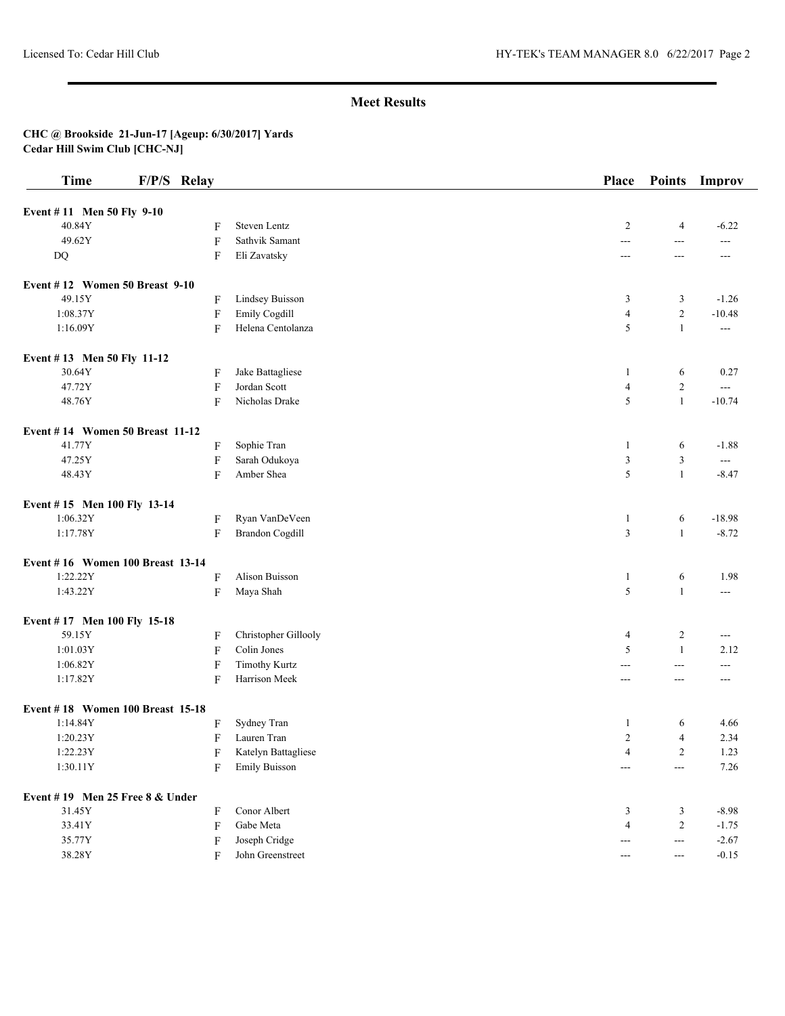| <b>Time</b>                      | F/P/S Relay               |                        | Place                 | <b>Points</b>            | Improv                   |
|----------------------------------|---------------------------|------------------------|-----------------------|--------------------------|--------------------------|
| Event #11 Men 50 Fly 9-10        |                           |                        |                       |                          |                          |
| 40.84Y                           | F                         | Steven Lentz           | 2                     | $\overline{4}$           | $-6.22$                  |
| 49.62Y                           | $\boldsymbol{\mathrm{F}}$ | Sathvik Samant         | $\overline{a}$        | $\overline{a}$           | $---$                    |
| $\mathbf{D}\mathbf{Q}$           | F                         | Eli Zavatsky           | $\overline{a}$        | $\overline{a}$           | $---$                    |
| Event #12 Women 50 Breast 9-10   |                           |                        |                       |                          |                          |
| 49.15Y                           | F                         | Lindsey Buisson        | 3                     | 3                        | $-1.26$                  |
| 1:08.37Y                         | F                         | Emily Cogdill          | $\overline{4}$        | $\sqrt{2}$               | $-10.48$                 |
| 1:16.09Y                         | F                         | Helena Centolanza      | 5                     | $\mathbf{1}$             | $\overline{\phantom{a}}$ |
| Event #13 Men 50 Fly 11-12       |                           |                        |                       |                          |                          |
| 30.64Y                           | F                         | Jake Battagliese       | 1                     | 6                        | 0.27                     |
| 47.72Y                           | $\boldsymbol{\mathrm{F}}$ | Jordan Scott           | $\overline{4}$        | $\sqrt{2}$               | $\overline{a}$           |
| 48.76Y                           | F                         | Nicholas Drake         | 5                     | $\mathbf{1}$             | $-10.74$                 |
| Event #14 Women 50 Breast 11-12  |                           |                        |                       |                          |                          |
| 41.77Y                           | F                         | Sophie Tran            | 1                     | 6                        | $-1.88$                  |
| 47.25Y                           | $\boldsymbol{\mathrm{F}}$ | Sarah Odukoya          | $\mathfrak{Z}$        | $\mathfrak z$            | $\overline{a}$           |
| 48.43Y                           | F                         | Amber Shea             | 5                     | $\mathbf{1}$             | $-8.47$                  |
| Event #15 Men 100 Fly 13-14      |                           |                        |                       |                          |                          |
| 1:06.32Y                         | F                         | Ryan VanDeVeen         | $\mathbf{1}$          | 6                        | $-18.98$                 |
| 1:17.78Y                         | F                         | <b>Brandon Cogdill</b> | $\mathfrak{Z}$        | $\mathbf{1}$             | $-8.72$                  |
| Event #16 Women 100 Breast 13-14 |                           |                        |                       |                          |                          |
| 1:22.22Y                         | F                         | Alison Buisson         | 1                     | 6                        | 1.98                     |
| 1:43.22Y                         | F                         | Maya Shah              | 5                     | $\mathbf{1}$             | ---                      |
| Event #17 Men 100 Fly 15-18      |                           |                        |                       |                          |                          |
| 59.15Y                           | F                         | Christopher Gillooly   | $\overline{4}$        | $\overline{c}$           | ---                      |
| 1:01.03Y                         | F                         | Colin Jones            | 5                     | $\mathbf{1}$             | 2.12                     |
| 1:06.82Y                         | $\boldsymbol{\mathrm{F}}$ | <b>Timothy Kurtz</b>   | ---                   | $--$                     | ---                      |
| 1:17.82Y                         | F                         | Harrison Meek          | $---$                 | $---$                    | $---$                    |
| Event #18 Women 100 Breast 15-18 |                           |                        |                       |                          |                          |
| 1:14.84Y                         | F                         | Sydney Tran            | $\mathbf{1}$          | 6                        | 4.66                     |
| 1:20.23Y                         | F                         | Lauren Tran            | $\overline{2}$        | $\overline{4}$           | 2.34                     |
| 1:22.23Y                         | $\, {\bf F}$              | Katelyn Battagliese    | 4                     | $\overline{c}$           | 1.23                     |
| 1:30.11Y                         | F                         | <b>Emily Buisson</b>   | $---$                 | $\scriptstyle \cdots$    | 7.26                     |
| Event #19 Men 25 Free 8 & Under  |                           |                        |                       |                          |                          |
| 31.45Y                           | F                         | Conor Albert           | 3                     | 3                        | $-8.98$                  |
| 33.41Y                           | F                         | Gabe Meta              | $\overline{4}$        | $\sqrt{2}$               | $-1.75$                  |
| 35.77Y                           | F                         | Joseph Cridge          | $\scriptstyle \cdots$ | $\overline{\phantom{a}}$ | $-2.67$                  |
| 38.28Y                           | F                         | John Greenstreet       | $\scriptstyle \cdots$ | $\scriptstyle \cdots$    | $-0.15$                  |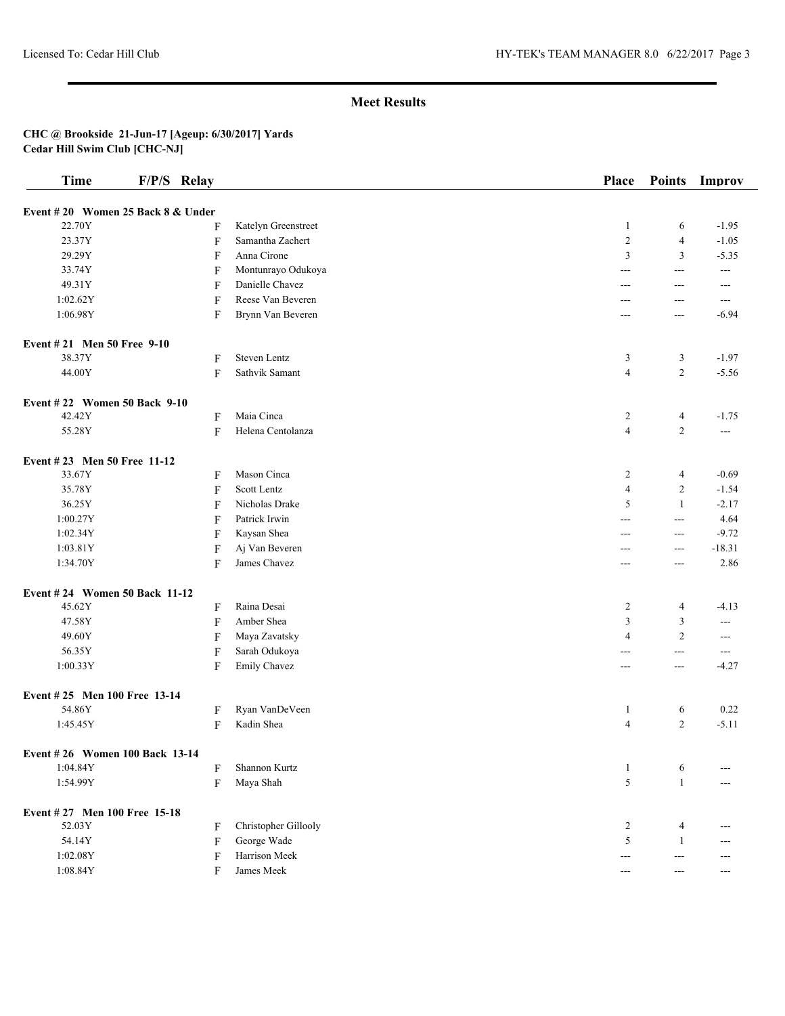| <b>Time</b>                       | F/P/S Relay               |                      | Place                   | <b>Points</b>  | Improv         |
|-----------------------------------|---------------------------|----------------------|-------------------------|----------------|----------------|
| Event #20 Women 25 Back 8 & Under |                           |                      |                         |                |                |
| 22.70Y                            | F                         | Katelyn Greenstreet  | $\mathbf{1}$            | 6              | $-1.95$        |
| 23.37Y                            | $\mathbf{F}$              | Samantha Zachert     | $\overline{c}$          | $\overline{4}$ | $-1.05$        |
| 29.29Y                            | F                         | Anna Cirone          | 3                       | 3              | $-5.35$        |
| 33.74Y                            | F                         | Montunrayo Odukoya   | ---                     | ---            | ---            |
| 49.31Y                            | F                         | Danielle Chavez      | ---                     | ---            | ---            |
| 1:02.62Y                          | F                         | Reese Van Beveren    | ---                     | ---            | $---$          |
| 1:06.98Y                          | F                         | Brynn Van Beveren    | ---                     | ---            | $-6.94$        |
| Event #21 Men 50 Free 9-10        |                           |                      |                         |                |                |
| 38.37Y                            | F                         | <b>Steven Lentz</b>  | 3                       | 3              | $-1.97$        |
| 44.00Y                            | F                         | Sathvik Samant       | $\overline{\mathbf{4}}$ | $\overline{c}$ | $-5.56$        |
| Event #22 Women 50 Back 9-10      |                           |                      |                         |                |                |
| 42.42Y                            | F                         | Maia Cinca           | $\overline{\mathbf{c}}$ | 4              | $-1.75$        |
| 55.28Y                            | F                         | Helena Centolanza    | $\overline{\mathbf{4}}$ | $\overline{c}$ | $\overline{a}$ |
| Event #23 Men 50 Free 11-12       |                           |                      |                         |                |                |
| 33.67Y                            | F                         | Mason Cinca          | 2                       | 4              | $-0.69$        |
| 35.78Y                            | F                         | Scott Lentz          | 4                       | $\overline{c}$ | $-1.54$        |
| 36.25Y                            | F                         | Nicholas Drake       | 5                       | -1             | $-2.17$        |
| 1:00.27Y                          | F                         | Patrick Irwin        | ---                     | $\overline{a}$ | 4.64           |
| 1:02.34Y                          | F                         | Kaysan Shea          | ---                     | ---            | $-9.72$        |
| 1:03.81Y                          | $\boldsymbol{\mathrm{F}}$ | Aj Van Beveren       | ---                     | ---            | $-18.31$       |
| 1:34.70Y                          | F                         | James Chavez         | ---                     | ---            | 2.86           |
| Event #24 Women 50 Back 11-12     |                           |                      |                         |                |                |
| 45.62Y                            | $\boldsymbol{\mathrm{F}}$ | Raina Desai          | 2                       | 4              | $-4.13$        |
| 47.58Y                            | $\mathbf{F}$              | Amber Shea           | 3                       | 3              | ---            |
| 49.60Y                            | F                         | Maya Zavatsky        | 4                       | $\overline{2}$ | ---            |
| 56.35Y                            | $\boldsymbol{\mathrm{F}}$ | Sarah Odukoya        | ---                     | ---            | ---            |
| 1:00.33Y                          | F                         | Emily Chavez         | ---                     | ---            | $-4.27$        |
| Event #25 Men 100 Free 13-14      |                           |                      |                         |                |                |
| 54.86Y                            | F                         | Ryan VanDeVeen       | $\mathbf{1}$            | 6              | 0.22           |
| 1:45.45Y                          | F                         | Kadin Shea           | 4                       | $\overline{c}$ | $-5.11$        |
| Event #26 Women 100 Back 13-14    |                           |                      |                         |                |                |
| 1:04.84Y                          | F                         | Shannon Kurtz        | $\mathbf{1}$            | 6              |                |
| 1:54.99Y                          | F                         | Maya Shah            | 5                       | $\mathbf{1}$   |                |
| Event #27 Men 100 Free 15-18      |                           |                      |                         |                |                |
| 52.03Y                            | F                         | Christopher Gillooly | 2                       | 4              | ---            |
| 54.14Y                            | $\rm F$                   | George Wade          | 5                       | $\mathbf{1}$   | ---            |
| 1:02.08Y                          | F                         | Harrison Meek        | ---                     | $--$           | ---            |
| 1:08.84Y                          | F                         | James Meek           | ---                     | ---            | ---            |